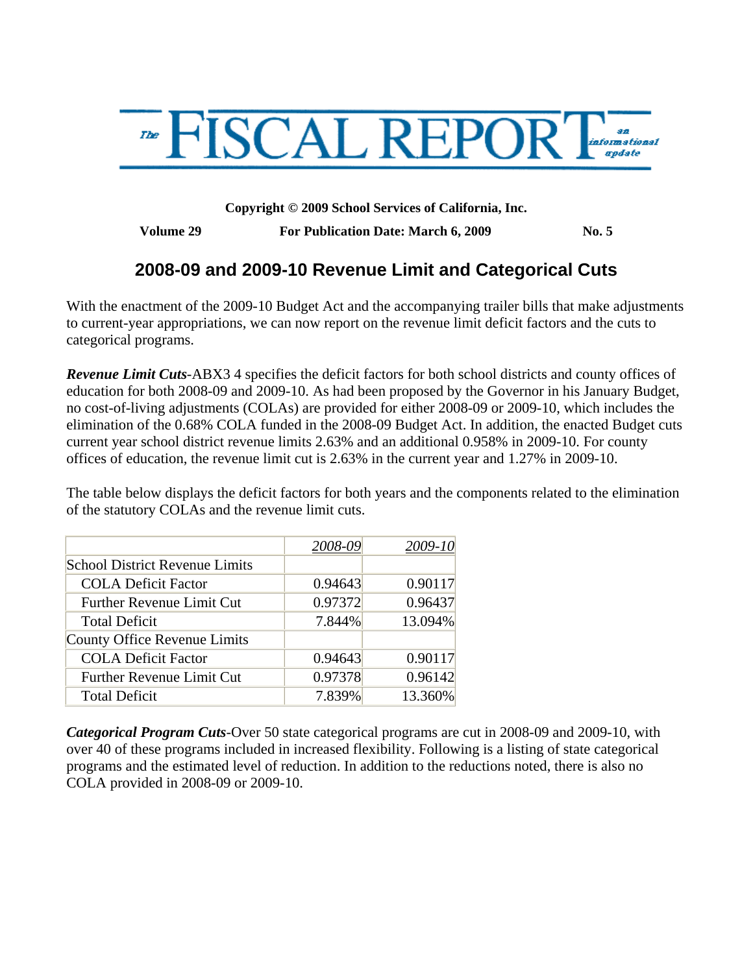

**Copyright © 2009 School Services of California, Inc.** 

**Volume 29 For Publication Date: March 6, 2009 No. 5** 

# **2008-09 and 2009-10 Revenue Limit and Categorical Cuts**

With the enactment of the 2009-10 Budget Act and the accompanying trailer bills that make adjustments to current-year appropriations, we can now report on the revenue limit deficit factors and the cuts to categorical programs.

*Revenue Limit Cuts*-ABX3 4 specifies the deficit factors for both school districts and county offices of education for both 2008-09 and 2009-10. As had been proposed by the Governor in his January Budget, no cost-of-living adjustments (COLAs) are provided for either 2008-09 or 2009-10, which includes the elimination of the 0.68% COLA funded in the 2008-09 Budget Act. In addition, the enacted Budget cuts current year school district revenue limits 2.63% and an additional 0.958% in 2009-10. For county offices of education, the revenue limit cut is 2.63% in the current year and 1.27% in 2009-10.

The table below displays the deficit factors for both years and the components related to the elimination of the statutory COLAs and the revenue limit cuts.

|                                       | 2008-09 | 2009-10 |
|---------------------------------------|---------|---------|
| <b>School District Revenue Limits</b> |         |         |
| <b>COLA Deficit Factor</b>            | 0.94643 | 0.90117 |
| <b>Further Revenue Limit Cut</b>      | 0.97372 | 0.96437 |
| <b>Total Deficit</b>                  | 7.844%  | 13.094% |
| County Office Revenue Limits          |         |         |
| <b>COLA Deficit Factor</b>            | 0.94643 | 0.90117 |
| <b>Further Revenue Limit Cut</b>      | 0.97378 | 0.96142 |
| <b>Total Deficit</b>                  | 7.839%  | 13.360% |

*Categorical Program Cuts-*Over 50 state categorical programs are cut in 2008-09 and 2009-10, with over 40 of these programs included in increased flexibility. Following is a listing of state categorical programs and the estimated level of reduction. In addition to the reductions noted, there is also no COLA provided in 2008-09 or 2009-10.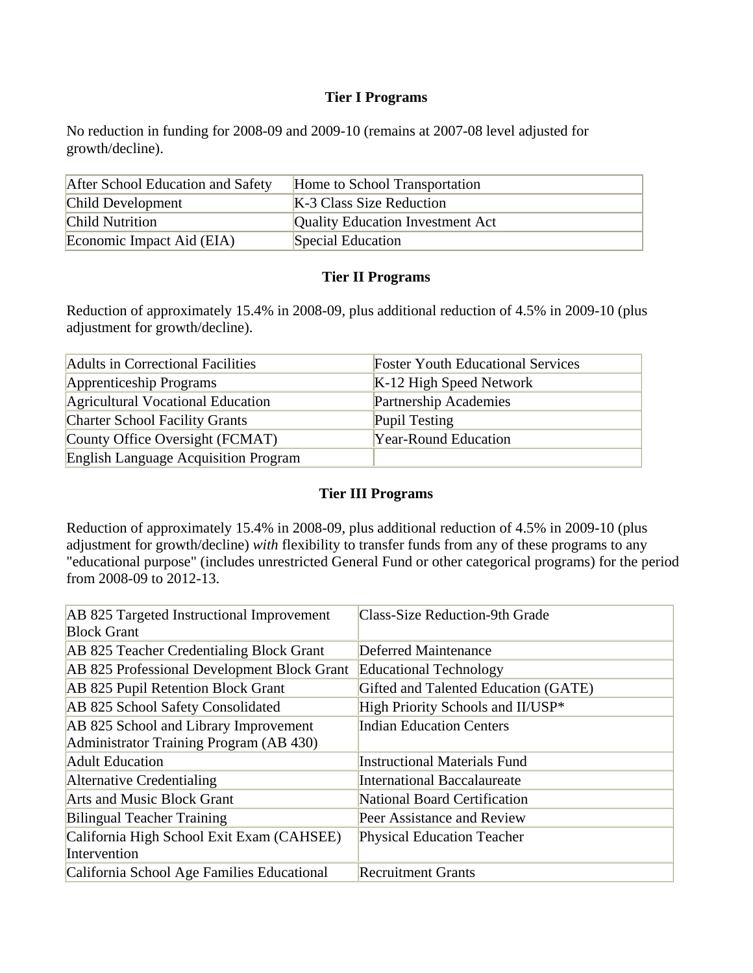#### **Tier I Programs**

No reduction in funding for 2008-09 and 2009-10 (remains at 2007-08 level adjusted for growth/decline).

| After School Education and Safety | Home to School Transportation           |
|-----------------------------------|-----------------------------------------|
| Child Development                 | K-3 Class Size Reduction                |
| <b>Child Nutrition</b>            | <b>Quality Education Investment Act</b> |
| Economic Impact Aid (EIA)         | Special Education                       |

#### **Tier II Programs**

Reduction of approximately 15.4% in 2008-09, plus additional reduction of 4.5% in 2009-10 (plus adjustment for growth/decline).

| Adults in Correctional Facilities           | <b>Foster Youth Educational Services</b> |
|---------------------------------------------|------------------------------------------|
| Apprenticeship Programs                     | $K-12$ High Speed Network                |
| Agricultural Vocational Education           | Partnership Academies                    |
| <b>Charter School Facility Grants</b>       | Pupil Testing                            |
| County Office Oversight (FCMAT)             | <b>Year-Round Education</b>              |
| <b>English Language Acquisition Program</b> |                                          |

### **Tier III Programs**

Reduction of approximately 15.4% in 2008-09, plus additional reduction of 4.5% in 2009-10 (plus adjustment for growth/decline) *with* flexibility to transfer funds from any of these programs to any "educational purpose" (includes unrestricted General Fund or other categorical programs) for the period from 2008-09 to 2012-13.

| AB 825 Targeted Instructional Improvement   | <b>Class-Size Reduction-9th Grade</b> |
|---------------------------------------------|---------------------------------------|
| <b>Block Grant</b>                          |                                       |
| AB 825 Teacher Credentialing Block Grant    | <b>Deferred Maintenance</b>           |
| AB 825 Professional Development Block Grant | <b>Educational Technology</b>         |
| AB 825 Pupil Retention Block Grant          | Gifted and Talented Education (GATE)  |
| AB 825 School Safety Consolidated           | High Priority Schools and II/USP*     |
| AB 825 School and Library Improvement       | <b>Indian Education Centers</b>       |
| Administrator Training Program (AB 430)     |                                       |
| <b>Adult Education</b>                      | <b>Instructional Materials Fund</b>   |
| Alternative Credentialing                   | <b>International Baccalaureate</b>    |
| <b>Arts and Music Block Grant</b>           | National Board Certification          |
| <b>Bilingual Teacher Training</b>           | Peer Assistance and Review            |
| California High School Exit Exam (CAHSEE)   | <b>Physical Education Teacher</b>     |
| Intervention                                |                                       |
| California School Age Families Educational  | <b>Recruitment Grants</b>             |